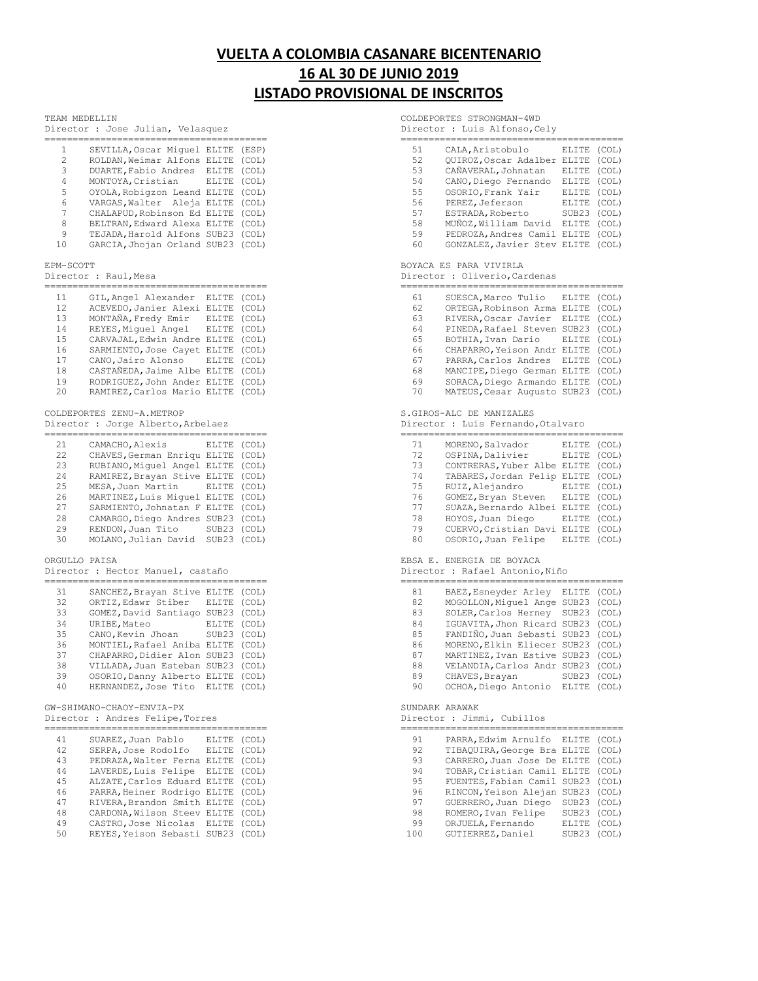# **VUELTA A COLOMBIA CASANARE BICENTENARIO 16 AL 30 DE JUNIO 2019 LISTADO PROVISIONAL DE INSCRITOS**

### TEAM MEDELLIN

| TEAM MEDELLIN |  |                                   |
|---------------|--|-----------------------------------|
|               |  | Director : Jose Julian, Velasquez |
|               |  |                                   |

| 1<br>$\overline{c}$<br>3<br>4<br>5<br>6<br>7<br>8<br>9<br>10 | SEVILLA, Oscar Miquel<br>ROLDAN, Weimar Alfons<br>DUARTE, Fabio Andres<br>MONTOYA, Cristian<br>OYOLA, Robigzon Leand<br>VARGAS, Walter<br>Aleja<br>CHALAPUD, Robinson Ed<br>BELTRAN, Edward Alexa<br>TEJADA, Harold Alfons<br>GARCIA, Jhojan Orland | ELITE<br>ELITE<br>ELITE<br>ELITE<br>ELITE<br>ELITE<br>ELITE<br>ELITE<br>SUB23<br>SUB23 | (ESP)<br>(COL)<br>(COL)<br>(COL)<br>(COL)<br>(COL)<br>(COL)<br>(COL)<br>(COL)<br>(COL) |
|--------------------------------------------------------------|-----------------------------------------------------------------------------------------------------------------------------------------------------------------------------------------------------------------------------------------------------|----------------------------------------------------------------------------------------|----------------------------------------------------------------------------------------|
| EPM-SCOTT                                                    |                                                                                                                                                                                                                                                     |                                                                                        |                                                                                        |
| Director :                                                   | Raul, Mesa                                                                                                                                                                                                                                          |                                                                                        |                                                                                        |
|                                                              |                                                                                                                                                                                                                                                     |                                                                                        |                                                                                        |
| 11<br>12                                                     | GIL, Angel Alexander<br>ACEVEDO, Janier Alexi                                                                                                                                                                                                       | ELITE                                                                                  | (COL)                                                                                  |
| 13                                                           |                                                                                                                                                                                                                                                     | ELITE                                                                                  | (COL)                                                                                  |
| 14                                                           | MONTAÑA, Fredy Emir<br>REYES, Miquel Angel                                                                                                                                                                                                          | ELITE<br>ELITE                                                                         | (COL)<br>(COL)                                                                         |
| 15                                                           | CARVAJAL, Edwin Andre                                                                                                                                                                                                                               | ELITE                                                                                  | (COL)                                                                                  |
| 16                                                           | SARMIENTO, Jose Cayet                                                                                                                                                                                                                               | ELITE                                                                                  | (COL)                                                                                  |
| 17                                                           | CANO, Jairo Alonso                                                                                                                                                                                                                                  | ELITE                                                                                  | (COL)                                                                                  |
| 18                                                           | CASTAÑEDA, Jaime Albe                                                                                                                                                                                                                               | ELITE                                                                                  | (COL)                                                                                  |
| 19                                                           | RODRIGUEZ, John Ander                                                                                                                                                                                                                               | ELITE                                                                                  | (COL)                                                                                  |
| 20                                                           | RAMIREZ, Carlos Mario                                                                                                                                                                                                                               | ELITE                                                                                  | (COL)                                                                                  |
| Director<br>=======                                          | COLDEPORTES ZENU-A.METROP<br>: Jorge Alberto, Arbelaez<br>===============                                                                                                                                                                           |                                                                                        |                                                                                        |
| 21                                                           | CAMACHO, Alexis                                                                                                                                                                                                                                     | ELITE                                                                                  | (COL)                                                                                  |
| 22                                                           | CHAVES, German Enriqu                                                                                                                                                                                                                               | ELITE                                                                                  | (COL)                                                                                  |
| 23                                                           | RUBIANO, Miquel Angel                                                                                                                                                                                                                               | ELITE                                                                                  | (COL)                                                                                  |
| 24                                                           | RAMIREZ, Brayan Stive                                                                                                                                                                                                                               | ELITE                                                                                  | (COL)                                                                                  |
| 25                                                           | MESA, Juan Martin                                                                                                                                                                                                                                   | ELITE                                                                                  | (COL)                                                                                  |
| 26                                                           | MARTINEZ, Luis Miquel                                                                                                                                                                                                                               | ELITE                                                                                  | (COL)                                                                                  |
| 27                                                           | SARMIENTO, Johnatan F                                                                                                                                                                                                                               | ELITE                                                                                  | (COL)                                                                                  |
| 28                                                           | CAMARGO, Diego Andres                                                                                                                                                                                                                               | SUB23                                                                                  | (COL)                                                                                  |
| 29                                                           | RENDON, Juan Tito                                                                                                                                                                                                                                   | SUB23                                                                                  | (COL)                                                                                  |
| 30                                                           | MOLANO, Julian David                                                                                                                                                                                                                                | SUB23                                                                                  | (COL)                                                                                  |
| ORGULLO                                                      | PAISA                                                                                                                                                                                                                                               |                                                                                        |                                                                                        |

# Director : Hector Manuel, castaño

| 31 | SANCHEZ, Brayan Stive ELITE |              | (COL) |
|----|-----------------------------|--------------|-------|
| 32 | ORTIZ, Edawr Stiber         | <b>ELITE</b> | (COL) |
| 33 | GOMEZ, David Santiago SUB23 |              | (COL) |
| 34 | URIBE, Mateo                | <b>ELITE</b> | (COL) |
| 35 | CANO, Kevin Jhoan           | SUB23        | (COL) |
| 36 | MONTIEL, Rafael Aniba ELITE |              | (COL) |
| 37 | CHAPARRO, Didier Alon SUB23 |              | (COL) |
| 38 | VILLADA, Juan Esteban SUB23 |              | (COL) |
| 39 | OSORIO, Danny Alberto ELITE |              | (COL) |
| 40 | HERNANDEZ, Jose Tito ELITE  |              | (COT) |

# GW-SHIMANO-CHAOY-ENVIA-PX

Director : Andres Felipe,Torres

| SUAREZ, Juan Pablo   | <b>ELITE</b> | (COL)                                                                                                                                                                                                                |
|----------------------|--------------|----------------------------------------------------------------------------------------------------------------------------------------------------------------------------------------------------------------------|
| SERPA, Jose Rodolfo  | <b>ELITE</b> | (COL)                                                                                                                                                                                                                |
|                      |              | (COL)                                                                                                                                                                                                                |
| LAVERDE, Luis Felipe | <b>ELITE</b> | (COL)                                                                                                                                                                                                                |
|                      |              | (COL)                                                                                                                                                                                                                |
|                      |              | (COL)                                                                                                                                                                                                                |
|                      |              | (COL)                                                                                                                                                                                                                |
|                      |              | (COL)                                                                                                                                                                                                                |
|                      |              | (COL)                                                                                                                                                                                                                |
|                      |              | (COT)                                                                                                                                                                                                                |
|                      |              | PEDRAZA, Walter Ferna ELITE<br>ALZATE, Carlos Eduard ELITE<br>PARRA, Heiner Rodrigo ELITE<br>RIVERA, Brandon Smith ELITE<br>CARDONA, Wilson Steev ELITE<br>CASTRO, Jose Nicolas ELITE<br>REYES, Yeison Sebasti SUB23 |

COLDEPORTES STRONGMAN-4WD

Director : Luis Alfonso, Cely

| 51 | CALA, Aristobulo            | ELITE  | (COL) |
|----|-----------------------------|--------|-------|
| 52 | OUIROZ, Oscar Adalber       | ELITE  | (COL) |
| 53 | CAÑAVERAL, Johnatan         | ELITE  | (COL) |
| 54 | CANO, Diego Fernando        | ELITE  | (COL) |
| 55 | OSORIO, Frank Yair          | ELITE  | (COL) |
| 56 | PEREZ, Jeferson             | ELITE  | (COL) |
| 57 | ESTRADA, Roberto            | SUB23  | (COL) |
| 58 | MUÑOZ, William David        | ELTTE. | (COL) |
| 59 | PEDROZA, Andres Camil       | ELITE  | (COL) |
| 60 | GONZALEZ, Javier Stev ELITE |        | (COL) |

### BOYACA ES PARA VIVIRLA

Director : Oliverio,Cardenas

| 61 | SUESCA, Marco Tulio         | <b>ELITE</b>      | (COL) |
|----|-----------------------------|-------------------|-------|
| 62 | ORTEGA, Robinson Arma       | ELITE             | (COL) |
| 63 | RIVERA, Oscar Javier        | ELTTE.            | (COL) |
| 64 | PINEDA, Rafael Steven       | SUB <sub>23</sub> | (COL) |
| 65 | BOTHIA, Ivan Dario          | ELTTE             | (COL) |
| 66 | CHAPARRO, Yeison Andr ELITE |                   | (COL) |
| 67 | PARRA, Carlos Andres ELITE  |                   | (COL) |
| 68 | MANCIPE, Diego German ELITE |                   | (COL) |
| 69 | SORACA, Diego Armando ELITE |                   | (COL) |
| 70 | MATEUS, Cesar Augusto SUB23 |                   | (COL) |

## S.GIROS-ALC DE MANIZALES

Director : Luis Fernando, Otalvaro<br>==================================

| 71 | MORENO, Salvador            | ELITE        | (COL) |
|----|-----------------------------|--------------|-------|
| 72 | OSPINA, Dalivier            | ELITE        | (COL) |
| 73 | CONTRERAS, Yuber Albe ELITE |              | (COL) |
| 74 | TABARES, Jordan Felip       | ELITE        | (COL) |
| 75 | RUIZ, Alejandro             | <b>ELITE</b> | (COL) |
| 76 | GOMEZ, Bryan Steven         | ELITE        | (COL) |
| 77 | SUAZA, Bernardo Albei       | ELITE        | (COL) |
| 78 | HOYOS, Juan Diego           | ELITE        | (COL) |
| 79 | CUERVO, Cristian Davi       | ELITE        | (COL) |
| 80 | OSORIO, Juan Felipe         | ELITE        | (COL) |

#### EBSA E. ENERGIA DE BOYACA

Director : Rafael Antonio, Niño

| 81 | BAEZ, Esneyder Arley        | ELITE             | (COL) |
|----|-----------------------------|-------------------|-------|
| 82 | MOGOLLON, Miquel Ange       | SUB <sub>23</sub> | (COL) |
| 83 | SOLER, Carlos Herney        | SUB23             | (COL) |
| 84 | IGUAVITA, Jhon Ricard SUB23 |                   | (COL) |
| 85 | FANDIÑO, Juan Sebasti SUB23 |                   | (COL) |
| 86 | MORENO, Elkin Eliecer SUB23 |                   | (COL) |
| 87 | MARTINEZ, Ivan Estive SUB23 |                   | (COL) |
| 88 | VELANDIA, Carlos Andr SUB23 |                   | (COL) |
| 89 | CHAVES, Brayan              | SUB <sub>23</sub> | (COL) |
| 90 | OCHOA, Diego Antonio        | ELITE             | (COL) |
|    |                             |                   |       |

### SUNDARK ARAWAK

Director : Jimmi, Cubillos

| 91  | PARRA, Edwim Arnulfo ELITE  |                   | (COL) |
|-----|-----------------------------|-------------------|-------|
| 92  | TIBAQUIRA, George Bra ELITE |                   | (COL) |
| 93  | CARRERO, Juan Jose De ELITE |                   | (COL) |
| 94  | TOBAR, Cristian Camil ELITE |                   | (COL) |
| 95  | FUENTES, Fabian Camil SUB23 |                   | (COL) |
| 96  | RINCON, Yeison Alejan       | SUB <sub>23</sub> | (COL) |
| 97  | GUERRERO, Juan Diego        | SUB23             | (COL) |
| 98  | ROMERO, Ivan Felipe         | SUB23             | (COL) |
| 99  | ORJUELA, Fernando           | ELTTE.            | (COL) |
| 100 | GUTIERREZ, Daniel           | SUB23             | (COL) |
|     |                             |                   |       |